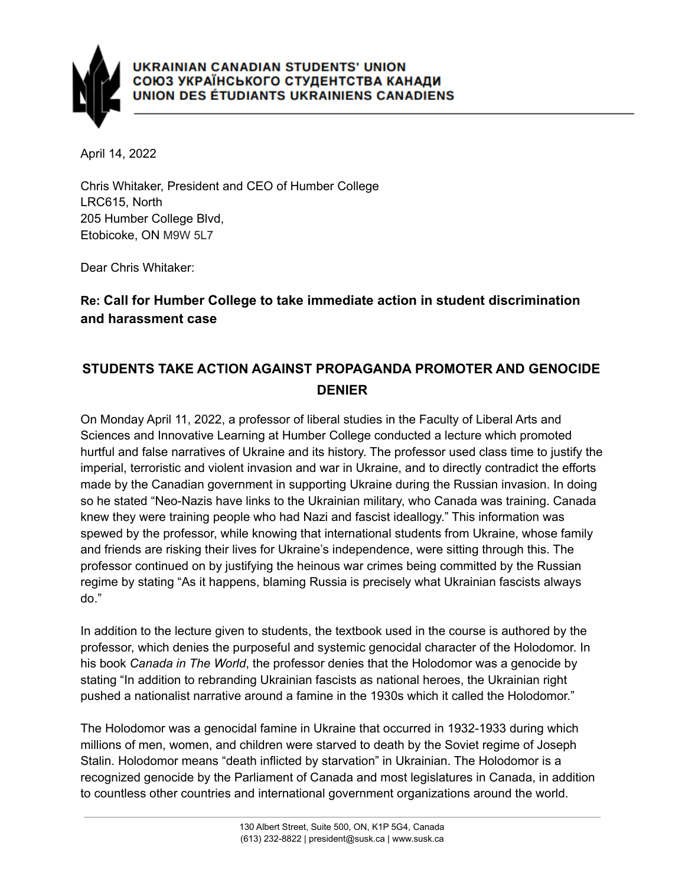

April 14, 2022

Chris Whitaker, President and CEO of Humber College LRC615, North 205 Humber College Blvd, Etobicoke, ON M9W 5L7

Dear Chris Whitaker:

## **Re: Call for Humber College to take immediate action in student discrimination and harassment case**

## **STUDENTS TAKE ACTION AGAINST PROPAGANDA PROMOTER AND GENOCIDE DENIER**

On Monday April 11, 2022, a professor of liberal studies in the Faculty of Liberal Arts and Sciences and Innovative Learning at Humber College conducted a lecture which promoted hurtful and false narratives of Ukraine and its history. The professor used class time to justify the imperial, terroristic and violent invasion and war in Ukraine, and to directly contradict the efforts made by the Canadian government in supporting Ukraine during the Russian invasion. In doing so he stated "Neo-Nazis have links to the Ukrainian military, who Canada was training. Canada knew they were training people who had Nazi and fascist ideallogy." This information was spewed by the professor, while knowing that international students from Ukraine, whose family and friends are risking their lives for Ukraine's independence, were sitting through this. The professor continued on by justifying the heinous war crimes being committed by the Russian regime by stating "As it happens, blaming Russia is precisely what Ukrainian fascists always do."

In addition to the lecture given to students, the textbook used in the course is authored by the professor, which denies the purposeful and systemic genocidal character of the Holodomor. In his book *Canada in The World*, the professor denies that the Holodomor was a genocide by stating "In addition to rebranding Ukrainian fascists as national heroes, the Ukrainian right pushed a nationalist narrative around a famine in the 1930s which it called the Holodomor."

The Holodomor was a genocidal famine in Ukraine that occurred in 1932-1933 during which millions of men, women, and children were starved to death by the Soviet regime of Joseph Stalin. Holodomor means "death inflicted by starvation" in Ukrainian. The Holodomor is a recognized genocide by the Parliament of Canada and most legislatures in Canada, in addition to countless other countries and international government organizations around the world.